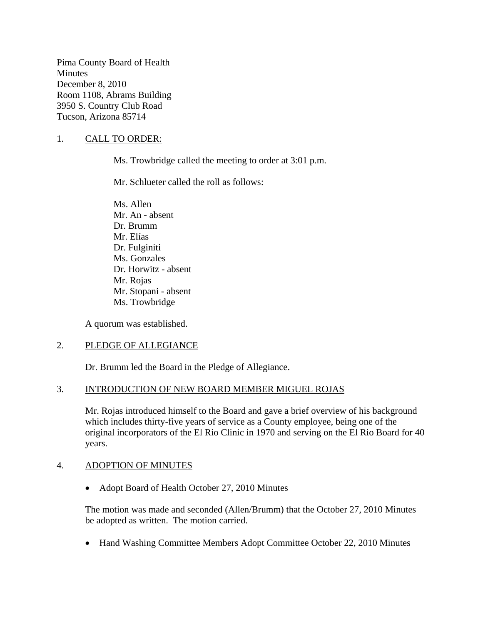Pima County Board of Health **Minutes** December 8, 2010 Room 1108, Abrams Building 3950 S. Country Club Road Tucson, Arizona 85714

# 1. CALL TO ORDER:

Ms. Trowbridge called the meeting to order at 3:01 p.m.

Mr. Schlueter called the roll as follows:

Ms. Allen Mr. An - absent Dr. Brumm Mr. Elías Dr. Fulginiti Ms. Gonzales Dr. Horwitz - absent Mr. Rojas Mr. Stopani - absent Ms. Trowbridge

A quorum was established.

# 2. PLEDGE OF ALLEGIANCE

Dr. Brumm led the Board in the Pledge of Allegiance.

### 3. INTRODUCTION OF NEW BOARD MEMBER MIGUEL ROJAS

Mr. Rojas introduced himself to the Board and gave a brief overview of his background which includes thirty-five years of service as a County employee, being one of the original incorporators of the El Rio Clinic in 1970 and serving on the El Rio Board for 40 years.

### 4. ADOPTION OF MINUTES

• Adopt Board of Health October 27, 2010 Minutes

The motion was made and seconded (Allen/Brumm) that the October 27, 2010 Minutes be adopted as written. The motion carried.

• Hand Washing Committee Members Adopt Committee October 22, 2010 Minutes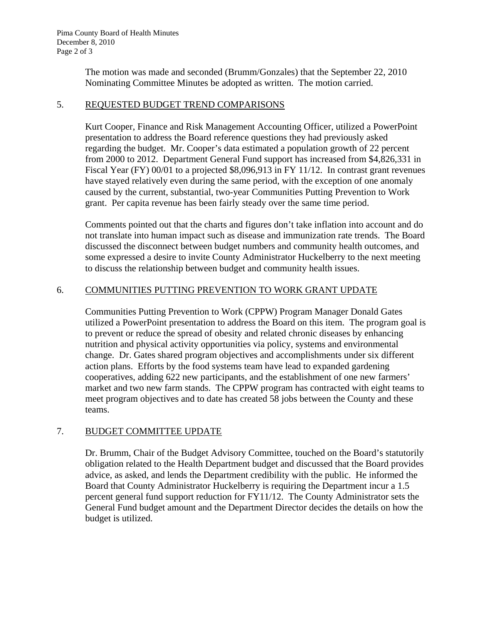The motion was made and seconded (Brumm/Gonzales) that the September 22, 2010 Nominating Committee Minutes be adopted as written. The motion carried.

### 5. REQUESTED BUDGET TREND COMPARISONS

Kurt Cooper, Finance and Risk Management Accounting Officer, utilized a PowerPoint presentation to address the Board reference questions they had previously asked regarding the budget. Mr. Cooper's data estimated a population growth of 22 percent from 2000 to 2012. Department General Fund support has increased from \$4,826,331 in Fiscal Year (FY) 00/01 to a projected \$8,096,913 in FY 11/12. In contrast grant revenues have stayed relatively even during the same period, with the exception of one anomaly caused by the current, substantial, two-year Communities Putting Prevention to Work grant. Per capita revenue has been fairly steady over the same time period.

Comments pointed out that the charts and figures don't take inflation into account and do not translate into human impact such as disease and immunization rate trends. The Board discussed the disconnect between budget numbers and community health outcomes, and some expressed a desire to invite County Administrator Huckelberry to the next meeting to discuss the relationship between budget and community health issues.

# 6. COMMUNITIES PUTTING PREVENTION TO WORK GRANT UPDATE

Communities Putting Prevention to Work (CPPW) Program Manager Donald Gates utilized a PowerPoint presentation to address the Board on this item. The program goal is to prevent or reduce the spread of obesity and related chronic diseases by enhancing nutrition and physical activity opportunities via policy, systems and environmental change. Dr. Gates shared program objectives and accomplishments under six different action plans. Efforts by the food systems team have lead to expanded gardening cooperatives, adding 622 new participants, and the establishment of one new farmers' market and two new farm stands. The CPPW program has contracted with eight teams to meet program objectives and to date has created 58 jobs between the County and these teams.

# 7. BUDGET COMMITTEE UPDATE

Dr. Brumm, Chair of the Budget Advisory Committee, touched on the Board's statutorily obligation related to the Health Department budget and discussed that the Board provides advice, as asked, and lends the Department credibility with the public. He informed the Board that County Administrator Huckelberry is requiring the Department incur a 1.5 percent general fund support reduction for FY11/12. The County Administrator sets the General Fund budget amount and the Department Director decides the details on how the budget is utilized.